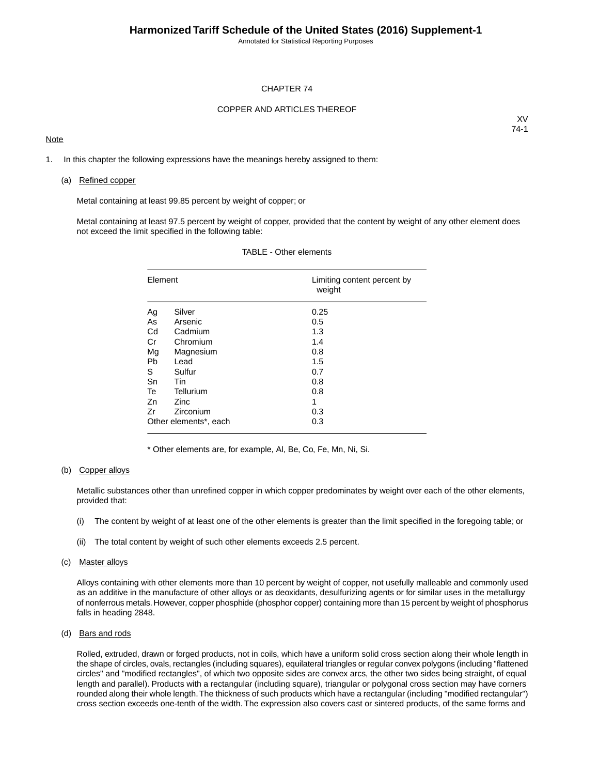Annotated for Statistical Reporting Purposes

#### CHAPTER 74

#### COPPER AND ARTICLES THEREOF

### **Note**

XV 74-1

1. In this chapter the following expressions have the meanings hereby assigned to them:

#### (a) Refined copper

Metal containing at least 99.85 percent by weight of copper; or

Metal containing at least 97.5 percent by weight of copper, provided that the content by weight of any other element does not exceed the limit specified in the following table:

| Element   |                       | Limiting content percent by<br>weight |
|-----------|-----------------------|---------------------------------------|
| Ag        | Silver                | 0.25                                  |
| As        | Arsenic               | 0.5                                   |
| Cd        | Cadmium               | 1.3                                   |
| Cr        | Chromium              | 1.4                                   |
| Mg        | Magnesium             | 0.8                                   |
| <b>Pb</b> | Lead                  | 1.5                                   |
| S         | Sulfur                | 0.7                                   |
| Sn        | Tin                   | 0.8                                   |
| Te        | Tellurium             | 0.8                                   |
| Zn        | Zinc                  | 1                                     |
| Zr        | Zirconium             | 0.3                                   |
|           | Other elements*, each | 0.3                                   |

### TABLE - Other elements

\* Other elements are, for example, Al, Be, Co, Fe, Mn, Ni, Si.

#### (b) Copper alloys

Metallic substances other than unrefined copper in which copper predominates by weight over each of the other elements, provided that:

- (i) The content by weight of at least one of the other elements is greater than the limit specified in the foregoing table; or
- (ii) The total content by weight of such other elements exceeds 2.5 percent.

### (c) Master alloys

Alloys containing with other elements more than 10 percent by weight of copper, not usefully malleable and commonly used as an additive in the manufacture of other alloys or as deoxidants, desulfurizing agents or for similar uses in the metallurgy of nonferrous metals. However, copper phosphide (phosphor copper) containing more than 15 percent by weight of phosphorus falls in heading 2848.

### (d) Bars and rods

Rolled, extruded, drawn or forged products, not in coils, which have a uniform solid cross section along their whole length in the shape of circles, ovals, rectangles (including squares), equilateral triangles or regular convex polygons (including "flattened circles" and "modified rectangles", of which two opposite sides are convex arcs, the other two sides being straight, of equal length and parallel). Products with a rectangular (including square), triangular or polygonal cross section may have corners rounded along their whole length.The thickness of such products which have a rectangular (including "modified rectangular") cross section exceeds one-tenth of the width. The expression also covers cast or sintered products, of the same forms and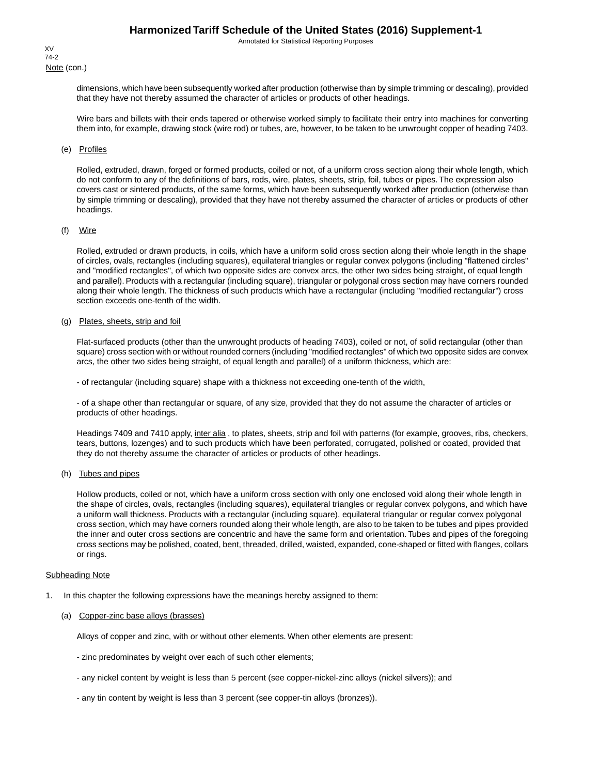Annotated for Statistical Reporting Purposes

Note (con.) XV 74-2

> dimensions, which have been subsequently worked after production (otherwise than by simple trimming or descaling), provided that they have not thereby assumed the character of articles or products of other headings.

> Wire bars and billets with their ends tapered or otherwise worked simply to facilitate their entry into machines for converting them into, for example, drawing stock (wire rod) or tubes, are, however, to be taken to be unwrought copper of heading 7403.

### (e) Profiles

Rolled, extruded, drawn, forged or formed products, coiled or not, of a uniform cross section along their whole length, which do not conform to any of the definitions of bars, rods, wire, plates, sheets, strip, foil, tubes or pipes. The expression also covers cast or sintered products, of the same forms, which have been subsequently worked after production (otherwise than by simple trimming or descaling), provided that they have not thereby assumed the character of articles or products of other headings.

### (f) Wire

Rolled, extruded or drawn products, in coils, which have a uniform solid cross section along their whole length in the shape of circles, ovals, rectangles (including squares), equilateral triangles or regular convex polygons (including "flattened circles" and "modified rectangles", of which two opposite sides are convex arcs, the other two sides being straight, of equal length and parallel). Products with a rectangular (including square), triangular or polygonal cross section may have corners rounded along their whole length. The thickness of such products which have a rectangular (including "modified rectangular") cross section exceeds one-tenth of the width.

#### (g) Plates, sheets, strip and foil

Flat-surfaced products (other than the unwrought products of heading 7403), coiled or not, of solid rectangular (other than square) cross section with or without rounded corners (including "modified rectangles" of which two opposite sides are convex arcs, the other two sides being straight, of equal length and parallel) of a uniform thickness, which are:

- of rectangular (including square) shape with a thickness not exceeding one-tenth of the width,

- of a shape other than rectangular or square, of any size, provided that they do not assume the character of articles or products of other headings.

Headings 7409 and 7410 apply, inter alia, to plates, sheets, strip and foil with patterns (for example, grooves, ribs, checkers, tears, buttons, lozenges) and to such products which have been perforated, corrugated, polished or coated, provided that they do not thereby assume the character of articles or products of other headings.

### (h) Tubes and pipes

Hollow products, coiled or not, which have a uniform cross section with only one enclosed void along their whole length in the shape of circles, ovals, rectangles (including squares), equilateral triangles or regular convex polygons, and which have a uniform wall thickness. Products with a rectangular (including square), equilateral triangular or regular convex polygonal cross section, which may have corners rounded along their whole length, are also to be taken to be tubes and pipes provided the inner and outer cross sections are concentric and have the same form and orientation. Tubes and pipes of the foregoing cross sections may be polished, coated, bent, threaded, drilled, waisted, expanded, cone-shaped or fitted with flanges, collars or rings.

#### Subheading Note

- 1. In this chapter the following expressions have the meanings hereby assigned to them:
	- (a) Copper-zinc base alloys (brasses)

Alloys of copper and zinc, with or without other elements. When other elements are present:

- zinc predominates by weight over each of such other elements;
- any nickel content by weight is less than 5 percent (see copper-nickel-zinc alloys (nickel silvers)); and
- any tin content by weight is less than 3 percent (see copper-tin alloys (bronzes)).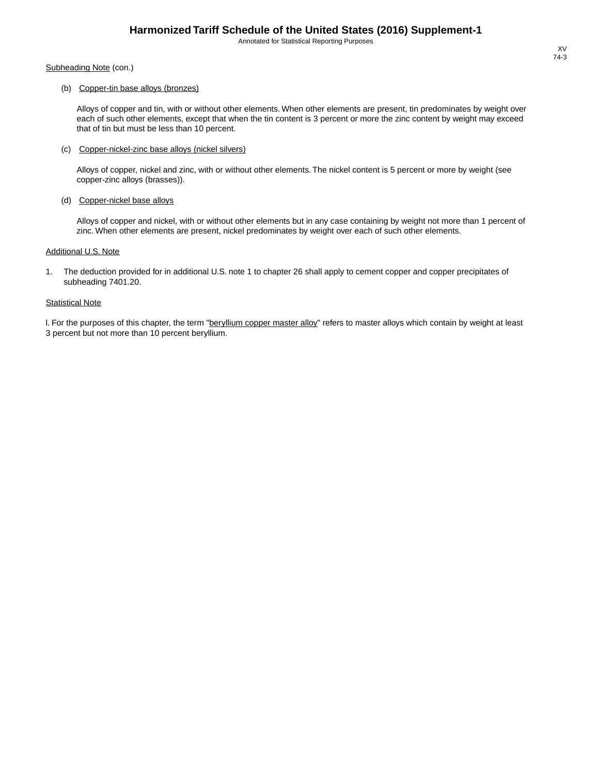Annotated for Statistical Reporting Purposes

Subheading Note (con.)

### (b) Copper-tin base alloys (bronzes)

Alloys of copper and tin, with or without other elements. When other elements are present, tin predominates by weight over each of such other elements, except that when the tin content is 3 percent or more the zinc content by weight may exceed that of tin but must be less than 10 percent.

#### (c) Copper-nickel-zinc base alloys (nickel silvers)

Alloys of copper, nickel and zinc, with or without other elements. The nickel content is 5 percent or more by weight (see copper-zinc alloys (brasses)).

#### (d) Copper-nickel base alloys

Alloys of copper and nickel, with or without other elements but in any case containing by weight not more than 1 percent of zinc. When other elements are present, nickel predominates by weight over each of such other elements.

#### Additional U.S. Note

1. The deduction provided for in additional U.S. note 1 to chapter 26 shall apply to cement copper and copper precipitates of subheading 7401.20.

### **Statistical Note**

I. For the purposes of this chapter, the term "beryllium copper master alloy" refers to master alloys which contain by weight at least 3 percent but not more than 10 percent beryllium.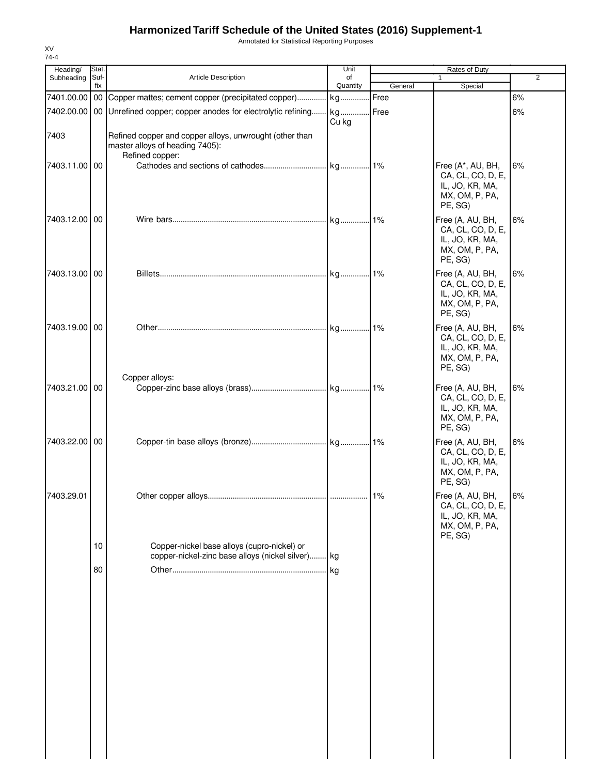Annotated for Statistical Reporting Purposes

| Heading/      | Stat.       |                                                                                                  | Unit           |         | Rates of Duty                                                                          |                |
|---------------|-------------|--------------------------------------------------------------------------------------------------|----------------|---------|----------------------------------------------------------------------------------------|----------------|
| Subheading    | Suf-<br>fix | <b>Article Description</b>                                                                       | of<br>Quantity | General | 1<br>Special                                                                           | $\overline{2}$ |
| 7401.00.00    |             | 00 Copper mattes; cement copper (precipitated copper)                                            | kg             | Free    |                                                                                        | 6%             |
|               |             | 7402.00.00 00 Unrefined copper; copper anodes for electrolytic refining                          | kg             | Free    |                                                                                        | 6%             |
| 7403          |             | Refined copper and copper alloys, unwrought (other than<br>master alloys of heading 7405):       | Cu kg          |         |                                                                                        |                |
| 7403.11.00 00 |             | Refined copper:                                                                                  |                |         | Free (A*, AU, BH,<br>CA, CL, CO, D, E,<br>IL, JO, KR, MA,<br>MX, OM, P, PA,<br>PE, SG) | 6%             |
| 7403.12.00 00 |             |                                                                                                  |                |         | Free (A, AU, BH,<br>CA, CL, CO, D, E,<br>IL, JO, KR, MA,<br>MX, OM, P, PA,<br>PE, SG)  | 6%             |
| 7403.13.00 00 |             |                                                                                                  | kg1%           |         | Free (A, AU, BH,<br>CA, CL, CO, D, E,<br>IL, JO, KR, MA,<br>MX, OM, P, PA,<br>PE, SG)  | 6%             |
| 7403.19.00 00 |             |                                                                                                  |                |         | Free (A, AU, BH,<br>CA, CL, CO, D, E,<br>IL, JO, KR, MA,<br>MX, OM, P, PA,<br>PE, SG)  | 6%             |
| 7403.21.00 00 |             | Copper alloys:                                                                                   |                |         | Free (A, AU, BH,<br>CA, CL, CO, D, E,<br>IL, JO, KR, MA,<br>MX, OM, P, PA,<br>PE, SG)  | 6%             |
| 7403.22.00 00 |             |                                                                                                  |                |         | Free (A, AU, BH,<br>CA, CL, CO, D, E,<br>IL, JO, KR, MA,<br>MX, OM, P, PA,<br>PE, SG)  | 6%             |
| 7403.29.01    |             |                                                                                                  |                | . 1%    | Free (A, AU, BH,<br>CA, CL, CO, D, E,<br>IL, JO, KR, MA,<br>MX, OM, P, PA,<br>PE, SG)  | 6%             |
|               | 10          | Copper-nickel base alloys (cupro-nickel) or<br>copper-nickel-zinc base alloys (nickel silver) kg |                |         |                                                                                        |                |
|               | 80          |                                                                                                  | kg             |         |                                                                                        |                |
|               |             |                                                                                                  |                |         |                                                                                        |                |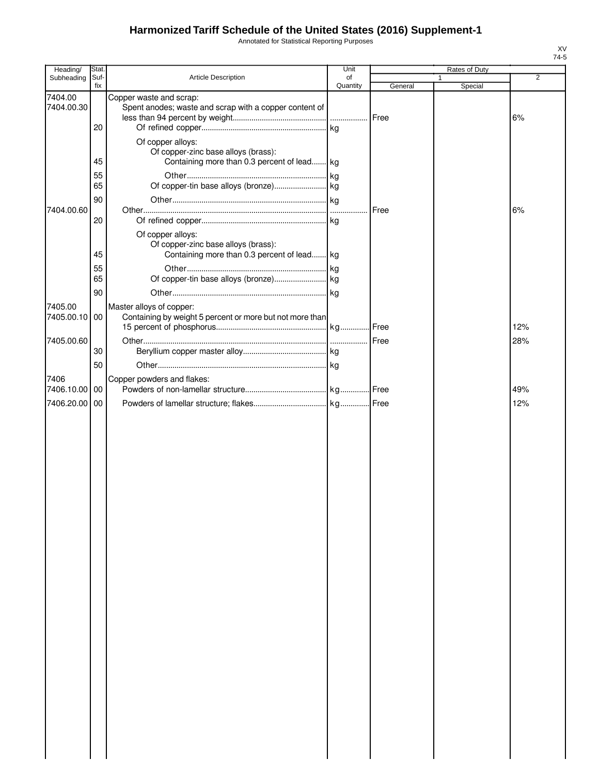Annotated for Statistical Reporting Purposes

| Heading/                 | Stat.                 |                                                                                                         | Unit           |         | Rates of Duty |                |
|--------------------------|-----------------------|---------------------------------------------------------------------------------------------------------|----------------|---------|---------------|----------------|
| Subheading               | Suf-<br>fix           | Article Description                                                                                     | of<br>Quantity | General | Special       | $\overline{2}$ |
| 7404.00<br>7404.00.30    | 20                    | Copper waste and scrap:<br>Spent anodes; waste and scrap with a copper content of                       |                |         |               | 6%             |
|                          | 45<br>55              | Of copper alloys:<br>Of copper-zinc base alloys (brass):<br>Containing more than 0.3 percent of lead kg |                |         |               |                |
|                          | 65<br>90              |                                                                                                         |                |         |               |                |
| 7404.00.60               | 20                    | Of copper alloys:                                                                                       |                | Free    |               | 6%             |
|                          | 45                    | Of copper-zinc base alloys (brass):<br>Containing more than 0.3 percent of lead kg                      |                |         |               |                |
|                          | 55<br>65<br>90        |                                                                                                         |                |         |               |                |
| 7405.00<br>7405.00.10 00 |                       | Master alloys of copper:<br>Containing by weight 5 percent or more but not more than                    |                |         |               | 12%            |
| 7405.00.60               | 30                    |                                                                                                         |                |         |               | 28%            |
| 7406<br>7406.10.00       | 50<br>$\overline{00}$ | Copper powders and flakes:                                                                              |                |         |               | 49%            |
| 7406.20.00               | $\overline{00}$       |                                                                                                         |                |         |               | 12%            |
|                          |                       |                                                                                                         |                |         |               |                |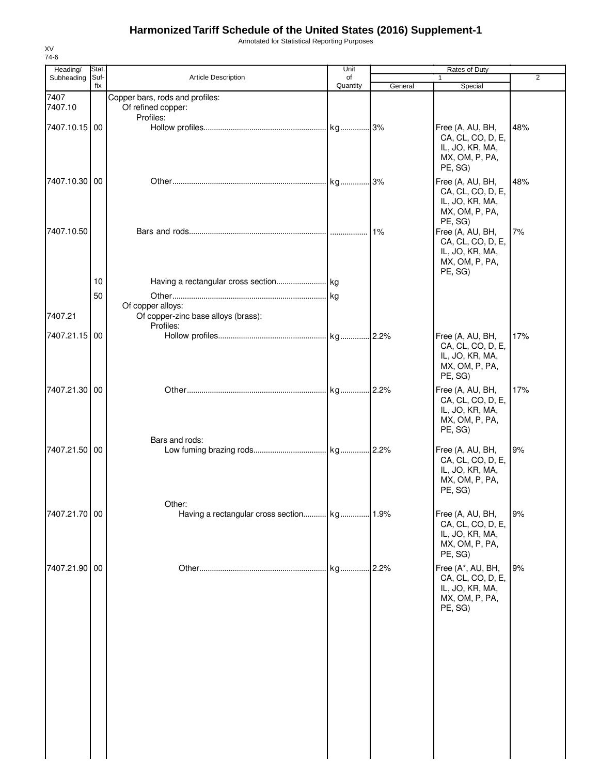Annotated for Statistical Reporting Purposes

| Heading/        | Stat.       |                                                                       | Unit           |         | Rates of Duty                                                                          |                |
|-----------------|-------------|-----------------------------------------------------------------------|----------------|---------|----------------------------------------------------------------------------------------|----------------|
| Subheading      | Suf-<br>fix | <b>Article Description</b>                                            | of<br>Quantity | General | 1<br>Special                                                                           | $\overline{2}$ |
| 7407<br>7407.10 |             | Copper bars, rods and profiles:<br>Of refined copper:                 |                |         |                                                                                        |                |
| 7407.10.15 00   |             | Profiles:                                                             |                |         | Free (A, AU, BH,<br>CA, CL, CO, D, E,<br>IL, JO, KR, MA,<br>MX, OM, P, PA,<br>PE, SG)  | 48%            |
| 7407.10.30 00   |             |                                                                       |                |         | Free (A, AU, BH,<br>CA, CL, CO, D, E,<br>IL, JO, KR, MA,<br>MX, OM, P, PA,<br>PE, SG)  | 48%            |
| 7407.10.50      |             |                                                                       |                | 1%      | Free (A, AU, BH,<br>CA, CL, CO, D, E,<br>IL, JO, KR, MA,<br>MX, OM, P, PA,<br>PE, SG)  | 7%             |
|                 | 10          |                                                                       |                |         |                                                                                        |                |
| 7407.21         | 50          | Of copper alloys:<br>Of copper-zinc base alloys (brass):<br>Profiles: |                |         |                                                                                        |                |
| 7407.21.15      | 00          |                                                                       |                |         | Free (A, AU, BH,<br>CA, CL, CO, D, E,<br>IL, JO, KR, MA,<br>MX, OM, P, PA,<br>PE, SG)  | 17%            |
| 7407.21.30 00   |             |                                                                       |                |         | Free (A, AU, BH,<br>CA, CL, CO, D, E,<br>IL, JO, KR, MA,<br>MX, OM, P, PA,<br>PE, SG)  | 17%            |
| 7407.21.50 00   |             | Bars and rods:                                                        |                |         | Free (A, AU, BH,<br>CA, CL, CO, D, E,<br>IL, JO, KR, MA,<br>MX, OM, P, PA,<br>PE, SG)  | 9%             |
| 7407.21.70 00   |             | Other:                                                                |                |         | Free (A, AU, BH,<br>CA, CL, CO, D, E,<br>IL, JO, KR, MA,<br>MX, OM, P, PA,<br>PE, SG)  | 9%             |
| 7407.21.90 00   |             |                                                                       | kg             | .2.2%   | Free (A*, AU, BH,<br>CA, CL, CO, D, E,<br>IL, JO, KR, MA,<br>MX, OM, P, PA,<br>PE, SG) | 9%             |
|                 |             |                                                                       |                |         |                                                                                        |                |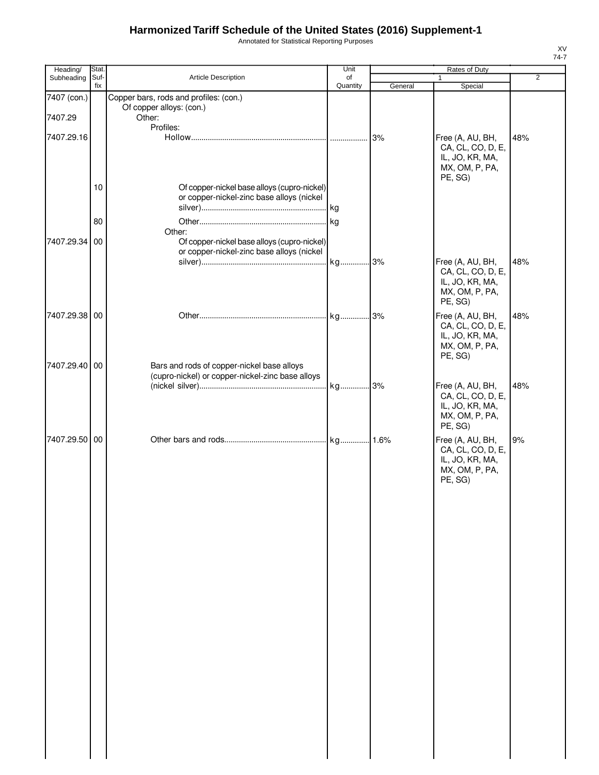Annotated for Statistical Reporting Purposes

| Heading/      | Stat.       |                                                                                          | Unit           |         | Rates of Duty                     |     |
|---------------|-------------|------------------------------------------------------------------------------------------|----------------|---------|-----------------------------------|-----|
| Subheading    | Suf-<br>fix | Article Description                                                                      | of<br>Quantity | General | $\mathbf{1}$<br>Special           | 2   |
| 7407 (con.)   |             | Copper bars, rods and profiles: (con.)                                                   |                |         |                                   |     |
|               |             | Of copper alloys: (con.)                                                                 |                |         |                                   |     |
| 7407.29       |             | Other:<br>Profiles:                                                                      |                |         |                                   |     |
| 7407.29.16    |             |                                                                                          |                |         | Free (A, AU, BH,                  | 48% |
|               |             |                                                                                          |                |         | CA, CL, CO, D, E,                 |     |
|               |             |                                                                                          |                |         | IL, JO, KR, MA,                   |     |
|               |             |                                                                                          |                |         | MX, OM, P, PA,<br>PE, SG)         |     |
|               | 10          | Of copper-nickel base alloys (cupro-nickel)                                              |                |         |                                   |     |
|               |             | or copper-nickel-zinc base alloys (nickel                                                |                |         |                                   |     |
|               |             |                                                                                          |                |         |                                   |     |
|               | 80          |                                                                                          |                |         |                                   |     |
|               |             | Other:                                                                                   |                |         |                                   |     |
| 7407.29.34 00 |             | Of copper-nickel base alloys (cupro-nickel)<br>or copper-nickel-zinc base alloys (nickel |                |         |                                   |     |
|               |             |                                                                                          |                |         | Free (A, AU, BH,                  | 48% |
|               |             |                                                                                          |                |         | CA, CL, CO, D, E,                 |     |
|               |             |                                                                                          |                |         | IL, JO, KR, MA,                   |     |
|               |             |                                                                                          |                |         | MX, OM, P, PA,<br>PE, SG)         |     |
| 7407.29.38 00 |             |                                                                                          |                |         | Free (A, AU, BH,                  | 48% |
|               |             |                                                                                          |                |         | CA, CL, CO, D, E,                 |     |
|               |             |                                                                                          |                |         | IL, JO, KR, MA,                   |     |
|               |             |                                                                                          |                |         | MX, OM, P, PA,                    |     |
| 7407.29.40 00 |             | Bars and rods of copper-nickel base alloys                                               |                |         | PE, SG)                           |     |
|               |             | (cupro-nickel) or copper-nickel-zinc base alloys                                         |                |         |                                   |     |
|               |             |                                                                                          |                |         | Free (A, AU, BH,                  | 48% |
|               |             |                                                                                          |                |         | CA, CL, CO, D, E,                 |     |
|               |             |                                                                                          |                |         | IL, JO, KR, MA,<br>MX, OM, P, PA, |     |
|               |             |                                                                                          |                |         | PE, SG)                           |     |
| 7407.29.50 00 |             |                                                                                          |                |         | Free (A, AU, BH,                  | 9%  |
|               |             |                                                                                          |                |         | CA, CL, CO, D, E,                 |     |
|               |             |                                                                                          |                |         | IL, JO, KR, MA,                   |     |
|               |             |                                                                                          |                |         | MX, OM, P, PA,<br>PE, SG)         |     |
|               |             |                                                                                          |                |         |                                   |     |
|               |             |                                                                                          |                |         |                                   |     |
|               |             |                                                                                          |                |         |                                   |     |
|               |             |                                                                                          |                |         |                                   |     |
|               |             |                                                                                          |                |         |                                   |     |
|               |             |                                                                                          |                |         |                                   |     |
|               |             |                                                                                          |                |         |                                   |     |
|               |             |                                                                                          |                |         |                                   |     |
|               |             |                                                                                          |                |         |                                   |     |
|               |             |                                                                                          |                |         |                                   |     |
|               |             |                                                                                          |                |         |                                   |     |
|               |             |                                                                                          |                |         |                                   |     |
|               |             |                                                                                          |                |         |                                   |     |
|               |             |                                                                                          |                |         |                                   |     |
|               |             |                                                                                          |                |         |                                   |     |
|               |             |                                                                                          |                |         |                                   |     |
|               |             |                                                                                          |                |         |                                   |     |
|               |             |                                                                                          |                |         |                                   |     |
|               |             |                                                                                          |                |         |                                   |     |
|               |             |                                                                                          |                |         |                                   |     |
|               |             |                                                                                          |                |         |                                   |     |
|               |             |                                                                                          |                |         |                                   |     |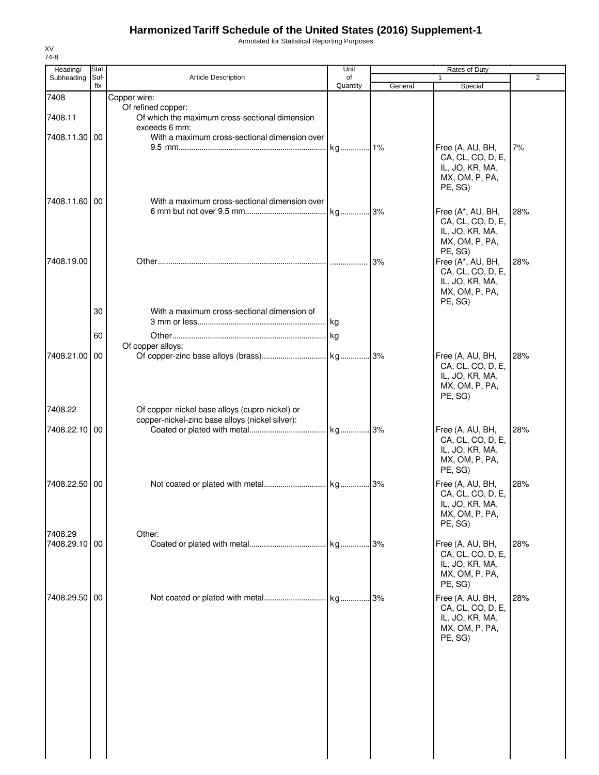Annotated for Statistical Reporting Purposes

| Heading/                 | Stat.       |                                                                                                   | Unit           |         | Rates of Duty                                                                                     |                |
|--------------------------|-------------|---------------------------------------------------------------------------------------------------|----------------|---------|---------------------------------------------------------------------------------------------------|----------------|
| Subheading               | Suf-<br>fix | Article Description                                                                               | of<br>Quantity | General | Special                                                                                           | $\overline{2}$ |
| 7408<br>7408.11          |             | Copper wire:<br>Of refined copper:<br>Of which the maximum cross-sectional dimension              |                |         |                                                                                                   |                |
| 7408.11.30 00            |             | exceeds 6 mm:<br>With a maximum cross-sectional dimension over                                    | kg 1%          |         | Free (A, AU, BH,                                                                                  | 7%             |
| 7408.11.60 00            |             | With a maximum cross-sectional dimension over                                                     |                |         | CA, CL, CO, D, E,<br>IL, JO, KR, MA,<br>MX, OM, P, PA,<br>PE, SG)                                 |                |
|                          |             |                                                                                                   |                |         | Free (A*, AU, BH,<br>CA, CL, CO, D, E,<br>IL, JO, KR, MA,<br>MX, OM, P, PA,                       | 28%            |
| 7408.19.00               |             |                                                                                                   |                | 3%      | PE, SG)<br>Free (A*, AU, BH,<br>CA, CL, CO, D, E,<br>IL, JO, KR, MA,<br>MX, OM, P, PA,<br>PE, SG) | 28%            |
|                          | 30          | With a maximum cross-sectional dimension of                                                       | kg             |         |                                                                                                   |                |
|                          | 60          | Of copper alloys:                                                                                 |                |         |                                                                                                   |                |
| 7408.21.00 00            |             |                                                                                                   |                |         | Free (A, AU, BH,<br>CA, CL, CO, D, E,<br>IL, JO, KR, MA,<br>MX, OM, P, PA,<br>PE, SG)             | 28%            |
| 7408.22                  |             | Of copper-nickel base alloys (cupro-nickel) or<br>copper-nickel-zinc base alloys (nickel silver): |                |         |                                                                                                   |                |
| 7408.22.10 00            |             |                                                                                                   |                |         | Free (A, AU, BH,<br>CA, CL, CO, D, E,<br>IL, JO, KR, MA,<br>MX, OM, P, PA,<br>PE, SG)             | 28%            |
| 7408.22.50 00            |             |                                                                                                   |                |         | Free (A, AU, BH,<br>CA, CL, CO, D, E,<br>IL, JO, KR, MA,<br>MX, OM, P, PA,<br>PE, SG)             | 28%            |
| 7408.29<br>7408.29.10 00 |             | Other:                                                                                            |                |         | Free (A, AU, BH,<br>CA, CL, CO, D, E,<br>IL, JO, KR, MA,<br>MX, OM, P, PA,<br>PE, SG)             | 28%            |
| 7408.29.50 00            |             |                                                                                                   |                |         | Free (A, AU, BH,<br>CA, CL, CO, D, E,<br>IL, JO, KR, MA,<br>MX, OM, P, PA,<br>PE, SG)             | 28%            |
|                          |             |                                                                                                   |                |         |                                                                                                   |                |
|                          |             |                                                                                                   |                |         |                                                                                                   |                |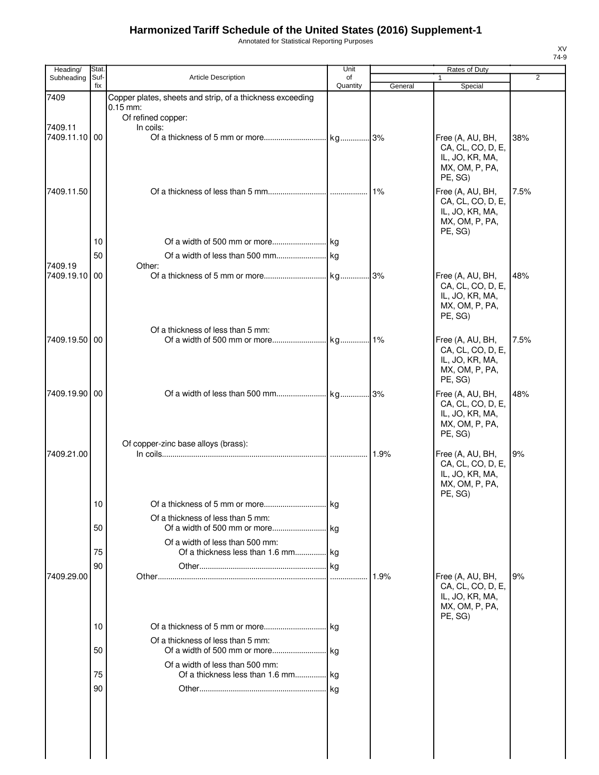Annotated for Statistical Reporting Purposes

| Heading/              | Stat.       |                                                                       | Unit           |         | Rates of Duty                                                                         |                |
|-----------------------|-------------|-----------------------------------------------------------------------|----------------|---------|---------------------------------------------------------------------------------------|----------------|
| Subheading            | Suf-<br>fix | <b>Article Description</b>                                            | of<br>Quantity | General | 1<br>Special                                                                          | $\overline{2}$ |
| 7409                  |             | Copper plates, sheets and strip, of a thickness exceeding             |                |         |                                                                                       |                |
|                       |             | $0.15$ mm:<br>Of refined copper:                                      |                |         |                                                                                       |                |
| 7409.11               |             | In coils:                                                             |                |         |                                                                                       |                |
| 7409.11.10 00         |             |                                                                       |                |         | Free (A, AU, BH,<br>CA, CL, CO, D, E,<br>IL, JO, KR, MA,<br>MX, OM, P, PA,<br>PE, SG) | 38%            |
| 7409.11.50            |             |                                                                       |                | $1\%$   | Free (A, AU, BH,<br>CA, CL, CO, D, E,<br>IL, JO, KR, MA,<br>MX, OM, P, PA,<br>PE, SG) | 7.5%           |
|                       | 10          |                                                                       |                |         |                                                                                       |                |
|                       | 50          |                                                                       |                |         |                                                                                       |                |
| 7409.19<br>7409.19.10 | 00          | Other:                                                                |                |         | Free (A, AU, BH,                                                                      | 48%            |
|                       |             |                                                                       |                |         | CA, CL, CO, D, E,<br>IL, JO, KR, MA,<br>MX, OM, P, PA,<br>PE, SG)                     |                |
| 7409.19.50 00         |             | Of a thickness of less than 5 mm:                                     |                |         | Free (A, AU, BH,                                                                      | 7.5%           |
|                       |             |                                                                       |                |         | CA, CL, CO, D, E,<br>IL, JO, KR, MA,<br>MX, OM, P, PA,<br>PE, SG)                     |                |
| 7409.19.90 00         |             |                                                                       |                |         | Free (A, AU, BH,<br>CA, CL, CO, D, E,                                                 | 48%            |
| 7409.21.00            |             | Of copper-zinc base alloys (brass):                                   |                | 1.9%    | IL, JO, KR, MA,<br>MX, OM, P, PA,<br>PE, SG)<br>Free (A, AU, BH,<br>CA, CL, CO, D, E, | 9%             |
|                       |             |                                                                       |                |         | IL, JO, KR, MA,<br>MX, OM, P, PA,<br>PE, SG)                                          |                |
|                       | 10          |                                                                       |                |         |                                                                                       |                |
|                       | 50          | Of a thickness of less than 5 mm:                                     |                |         |                                                                                       |                |
|                       | 75          | Of a width of less than 500 mm:                                       |                |         |                                                                                       |                |
|                       | 90          |                                                                       |                |         |                                                                                       |                |
| 7409.29.00            |             |                                                                       |                | 1.9%    | Free (A, AU, BH,<br>CA, CL, CO, D, E,<br>IL, JO, KR, MA,<br>MX, OM, P, PA,<br>PE, SG) | 9%             |
|                       | 10          |                                                                       |                |         |                                                                                       |                |
|                       |             | Of a thickness of less than 5 mm:                                     |                |         |                                                                                       |                |
|                       | 50          |                                                                       |                |         |                                                                                       |                |
|                       | 75          | Of a width of less than 500 mm:<br>Of a thickness less than 1.6 mm kg |                |         |                                                                                       |                |
|                       | 90          |                                                                       |                |         |                                                                                       |                |
|                       |             |                                                                       |                |         |                                                                                       |                |
|                       |             |                                                                       |                |         |                                                                                       |                |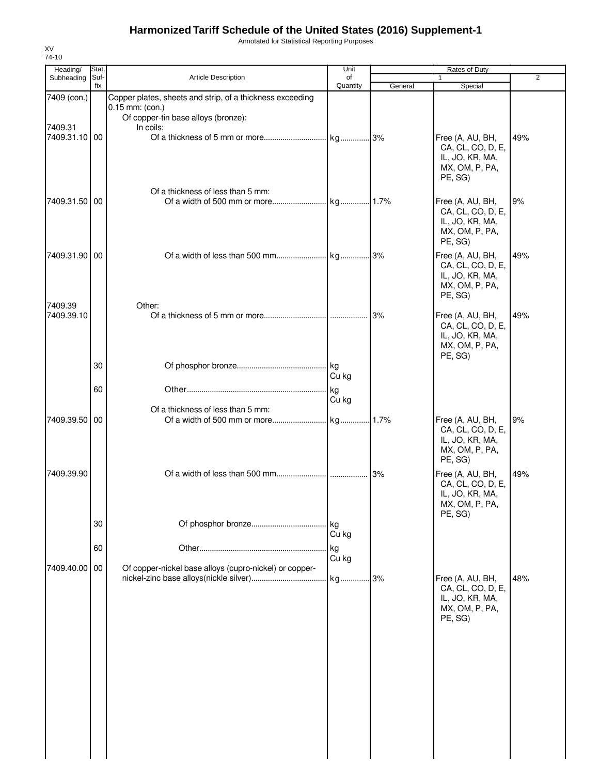Annotated for Statistical Reporting Purposes

| Heading/<br>Subheading | Stat.<br>Suf- | <b>Article Description</b>                                                                                                         | Unit<br>of  |         | Rates of Duty<br>1                                                                    | $\overline{2}$ |
|------------------------|---------------|------------------------------------------------------------------------------------------------------------------------------------|-------------|---------|---------------------------------------------------------------------------------------|----------------|
|                        | fix           |                                                                                                                                    | Quantity    | General | Special                                                                               |                |
| 7409 (con.)<br>7409.31 |               | Copper plates, sheets and strip, of a thickness exceeding<br>$0.15$ mm: (con.)<br>Of copper-tin base alloys (bronze):<br>In coils: |             |         |                                                                                       |                |
| 7409.31.10 00          |               |                                                                                                                                    |             |         | Free (A, AU, BH,<br>CA, CL, CO, D, E,<br>IL, JO, KR, MA,<br>MX, OM, P, PA,<br>PE, SG) | 49%            |
| 7409.31.50 00          |               | Of a thickness of less than 5 mm:                                                                                                  |             |         | Free (A, AU, BH,<br>CA, CL, CO, D, E,<br>IL, JO, KR, MA,<br>MX, OM, P, PA,<br>PE, SG) | 9%             |
| 7409.31.90 00          |               |                                                                                                                                    |             |         | Free (A, AU, BH,<br>CA, CL, CO, D, E,<br>IL, JO, KR, MA,<br>MX, OM, P, PA,<br>PE, SG) | 49%            |
| 7409.39<br>7409.39.10  |               | Other:                                                                                                                             |             | 3%      | Free (A, AU, BH,<br>CA, CL, CO, D, E,<br>IL, JO, KR, MA,<br>MX, OM, P, PA,<br>PE, SG) | 49%            |
|                        | 30            |                                                                                                                                    | Cu kg       |         |                                                                                       |                |
|                        | 60            | Of a thickness of less than 5 mm:                                                                                                  | kg<br>Cu kg |         |                                                                                       |                |
| 7409.39.50             | 00            |                                                                                                                                    |             | .1.7%   | Free (A, AU, BH,<br>CA, CL, CO, D, E,<br>IL, JO, KR, MA,<br>MX, OM, P, PA,<br>PE, SG) | 9%             |
| 7409.39.90             |               |                                                                                                                                    |             | 3%      | Free (A, AU, BH,<br>CA, CL, CO, D, E,<br>IL, JO, KR, MA,<br>MX, OM, P, PA,<br>PE, SG) | 49%            |
|                        | 30            |                                                                                                                                    | Cu kg       |         |                                                                                       |                |
|                        | 60            |                                                                                                                                    | kg<br>Cu kg |         |                                                                                       |                |
| 7409.40.00 00          |               | Of copper-nickel base alloys (cupro-nickel) or copper-                                                                             | kg          | .3%     | Free (A, AU, BH,<br>CA, CL, CO, D, E,<br>IL, JO, KR, MA,<br>MX, OM, P, PA,<br>PE, SG) | 48%            |
|                        |               |                                                                                                                                    |             |         |                                                                                       |                |
|                        |               |                                                                                                                                    |             |         |                                                                                       |                |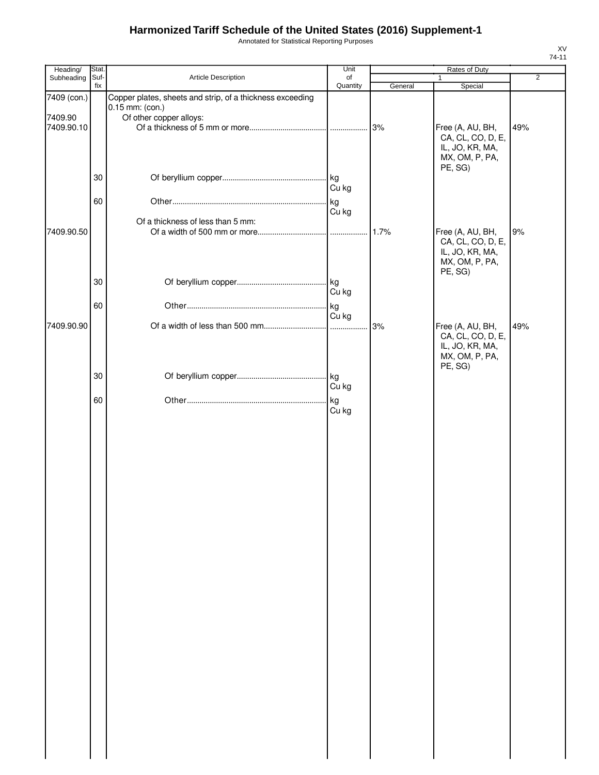Annotated for Statistical Reporting Purposes

| Heading/              | Stat.       |                                                                              | Unit           |         | Rates of Duty                                                                         |                |
|-----------------------|-------------|------------------------------------------------------------------------------|----------------|---------|---------------------------------------------------------------------------------------|----------------|
| Subheading            | Suf-<br>fix | Article Description                                                          | of<br>Quantity | General | Special                                                                               | $\overline{2}$ |
| 7409 (con.)           |             | Copper plates, sheets and strip, of a thickness exceeding<br>0.15 mm: (con.) |                |         |                                                                                       |                |
| 7409.90<br>7409.90.10 |             | Of other copper alloys:                                                      |                | 3%      | Free (A, AU, BH,<br>CA, CL, CO, D, E,<br>IL, JO, KR, MA,<br>MX, OM, P, PA,<br>PE, SG) | 49%            |
|                       | 30          |                                                                              | Cu kg          |         |                                                                                       |                |
|                       | 60          |                                                                              | kg<br>Cu kg    |         |                                                                                       |                |
| 7409.90.50            |             | Of a thickness of less than 5 mm:                                            |                | 1.7%    | Free (A, AU, BH,<br>CA, CL, CO, D, E,<br>IL, JO, KR, MA,<br>MX, OM, P, PA,<br>PE, SG) | 9%             |
|                       | 30          |                                                                              | Cu kg          |         |                                                                                       |                |
| 7409.90.90            | 60          |                                                                              | kg<br>Cu kg    | 3%      | Free (A, AU, BH,                                                                      | 49%            |
|                       |             |                                                                              |                |         | CA, CL, CO, D, E,<br>IL, JO, KR, MA,<br>MX, OM, P, PA,<br>PE, SG)                     |                |
|                       | 30          |                                                                              | Cu kg          |         |                                                                                       |                |
|                       | 60          |                                                                              | kg<br>Cu kg    |         |                                                                                       |                |
|                       |             |                                                                              |                |         |                                                                                       |                |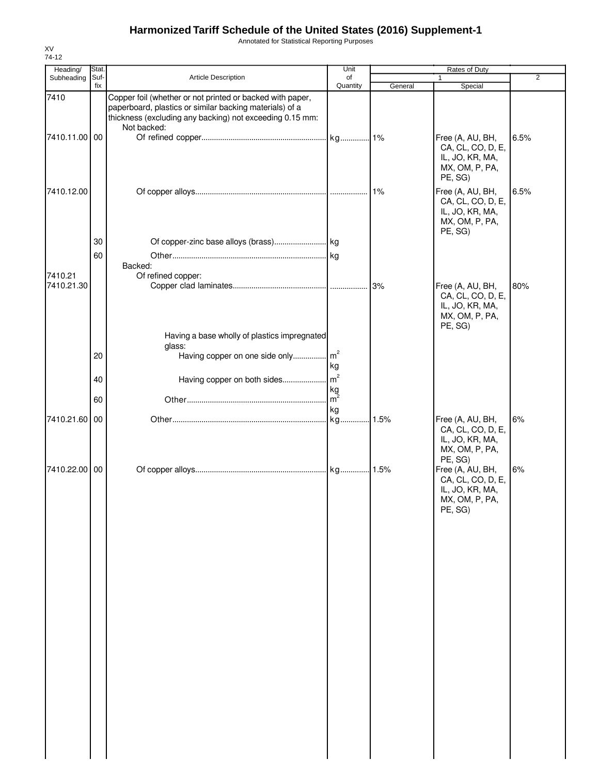Annotated for Statistical Reporting Purposes

| Heading/<br>Subheading | Stat.<br>Suf- | Article Description                                                                                                                                                                             | Unit<br>of     |         | Rates of Duty<br>1                                                                    | $\overline{2}$ |
|------------------------|---------------|-------------------------------------------------------------------------------------------------------------------------------------------------------------------------------------------------|----------------|---------|---------------------------------------------------------------------------------------|----------------|
|                        | fix           |                                                                                                                                                                                                 | Quantity       | General | Special                                                                               |                |
| 7410                   |               | Copper foil (whether or not printed or backed with paper,<br>paperboard, plastics or similar backing materials) of a<br>thickness (excluding any backing) not exceeding 0.15 mm:<br>Not backed: |                |         |                                                                                       |                |
| 7410.11.00 00          |               |                                                                                                                                                                                                 |                |         | Free (A, AU, BH,<br>CA, CL, CO, D, E,<br>IL, JO, KR, MA,<br>MX, OM, P, PA,<br>PE, SG) | 6.5%           |
| 7410.12.00             |               |                                                                                                                                                                                                 |                | 1%      | Free (A, AU, BH,<br>CA, CL, CO, D, E,<br>IL, JO, KR, MA,<br>MX, OM, P, PA,<br>PE, SG) | 6.5%           |
|                        | 30            |                                                                                                                                                                                                 |                |         |                                                                                       |                |
|                        | 60            |                                                                                                                                                                                                 |                |         |                                                                                       |                |
|                        |               | Backed:                                                                                                                                                                                         |                |         |                                                                                       |                |
| 7410.21                |               | Of refined copper:                                                                                                                                                                              |                |         |                                                                                       |                |
| 7410.21.30             |               | Having a base wholly of plastics impregnated                                                                                                                                                    |                | 3%      | Free (A, AU, BH,<br>CA, CL, CO, D, E,<br>IL, JO, KR, MA,<br>MX, OM, P, PA,<br>PE, SG) | 80%            |
|                        |               | glass:                                                                                                                                                                                          |                |         |                                                                                       |                |
|                        | 20            | Having copper on one side only                                                                                                                                                                  | m <sup>2</sup> |         |                                                                                       |                |
|                        |               |                                                                                                                                                                                                 | kg             |         |                                                                                       |                |
|                        | 40            | Having copper on both sides                                                                                                                                                                     | m <sup>2</sup> |         |                                                                                       |                |
|                        |               |                                                                                                                                                                                                 | kg             |         |                                                                                       |                |
|                        | 60            |                                                                                                                                                                                                 | $m^2$          |         |                                                                                       |                |
| 7410.21.60 00          |               |                                                                                                                                                                                                 | kg             | .1.5%   |                                                                                       | 6%             |
|                        |               |                                                                                                                                                                                                 |                |         | Free (A, AU, BH,<br>CA, CL, CO, D, E,<br>IL, JO, KR, MA,<br>MX, OM, P, PA,<br>PE, SG) |                |
| 7410.22.00             | 00            |                                                                                                                                                                                                 |                |         | Free (A, AU, BH,<br>CA, CL, CO, D, E,<br>IL, JO, KR, MA,<br>MX, OM, P, PA,<br>PE, SG) | 6%             |
|                        |               |                                                                                                                                                                                                 |                |         |                                                                                       |                |
|                        |               |                                                                                                                                                                                                 |                |         |                                                                                       |                |
|                        |               |                                                                                                                                                                                                 |                |         |                                                                                       |                |
|                        |               |                                                                                                                                                                                                 |                |         |                                                                                       |                |
|                        |               |                                                                                                                                                                                                 |                |         |                                                                                       |                |
|                        |               |                                                                                                                                                                                                 |                |         |                                                                                       |                |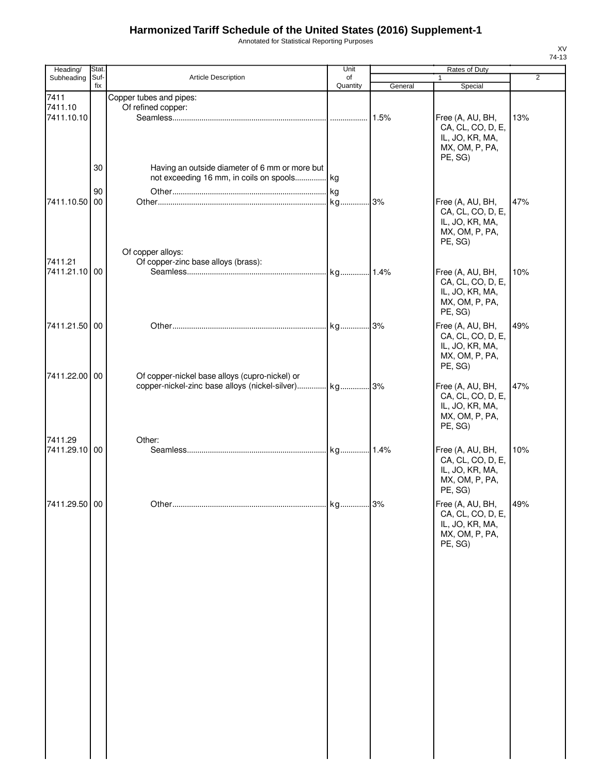Annotated for Statistical Reporting Purposes

| Heading/        | Stat.       |                                                      | Unit           |         | Rates of Duty             |                |
|-----------------|-------------|------------------------------------------------------|----------------|---------|---------------------------|----------------|
| Subheading      | Suf-<br>fix | Article Description                                  | of<br>Quantity |         | $\mathbf{1}$              | $\overline{2}$ |
|                 |             |                                                      |                | General | Special                   |                |
| 7411<br>7411.10 |             | Copper tubes and pipes:<br>Of refined copper:        |                |         |                           |                |
| 7411.10.10      |             |                                                      |                | 1.5%    | Free (A, AU, BH,          | 13%            |
|                 |             |                                                      |                |         | CA, CL, CO, D, E,         |                |
|                 |             |                                                      |                |         | IL, JO, KR, MA,           |                |
|                 |             |                                                      |                |         | MX, OM, P, PA,            |                |
|                 |             |                                                      |                |         | PE, SG)                   |                |
|                 | 30          | Having an outside diameter of 6 mm or more but       |                |         |                           |                |
|                 |             | not exceeding 16 mm, in coils on spools kg           |                |         |                           |                |
|                 | 90          |                                                      |                |         |                           |                |
| 7411.10.50      | 00          |                                                      |                | 3%      | Free (A, AU, BH,          | 47%            |
|                 |             |                                                      |                |         | CA, CL, CO, D, E,         |                |
|                 |             |                                                      |                |         | IL, JO, KR, MA,           |                |
|                 |             |                                                      |                |         | MX, OM, P, PA,            |                |
|                 |             |                                                      |                |         | PE, SG)                   |                |
|                 |             | Of copper alloys:                                    |                |         |                           |                |
| 7411.21         |             | Of copper-zinc base alloys (brass):                  |                |         |                           |                |
| 7411.21.10 00   |             |                                                      |                |         | Free (A, AU, BH,          | 10%            |
|                 |             |                                                      |                |         | CA, CL, CO, D, E,         |                |
|                 |             |                                                      |                |         | IL, JO, KR, MA,           |                |
|                 |             |                                                      |                |         | MX, OM, P, PA,<br>PE, SG) |                |
|                 |             |                                                      |                |         |                           |                |
| 7411.21.50 00   |             |                                                      |                |         | Free (A, AU, BH,          | 49%            |
|                 |             |                                                      |                |         | CA, CL, CO, D, E,         |                |
|                 |             |                                                      |                |         | IL, JO, KR, MA,           |                |
|                 |             |                                                      |                |         | MX, OM, P, PA,<br>PE, SG) |                |
| 7411.22.00 00   |             | Of copper-nickel base alloys (cupro-nickel) or       |                |         |                           |                |
|                 |             | copper-nickel-zinc base alloys (nickel-silver) kg 3% |                |         | Free (A, AU, BH,          | 47%            |
|                 |             |                                                      |                |         | CA, CL, CO, D, E,         |                |
|                 |             |                                                      |                |         | IL, JO, KR, MA,           |                |
|                 |             |                                                      |                |         | MX, OM, P, PA,            |                |
|                 |             |                                                      |                |         | PE, SG)                   |                |
| 7411.29         |             | Other:                                               |                |         |                           |                |
| 7411.29.10 00   |             |                                                      |                |         | Free (A, AU, BH,          | 10%            |
|                 |             |                                                      |                |         | CA, CL, CO, D, E,         |                |
|                 |             |                                                      |                |         | IL, JO, KR, MA,           |                |
|                 |             |                                                      |                |         | MX, OM, P, PA,            |                |
|                 |             |                                                      |                |         | PE, SG)                   |                |
| 7411.29.50 00   |             |                                                      |                |         | Free (A, AU, BH,          | 49%            |
|                 |             |                                                      |                |         | CA, CL, CO, D, E,         |                |
|                 |             |                                                      |                |         | IL, JO, KR, MA,           |                |
|                 |             |                                                      |                |         | MX, OM, P, PA,            |                |
|                 |             |                                                      |                |         | PE, SG)                   |                |
|                 |             |                                                      |                |         |                           |                |
|                 |             |                                                      |                |         |                           |                |
|                 |             |                                                      |                |         |                           |                |
|                 |             |                                                      |                |         |                           |                |
|                 |             |                                                      |                |         |                           |                |
|                 |             |                                                      |                |         |                           |                |
|                 |             |                                                      |                |         |                           |                |
|                 |             |                                                      |                |         |                           |                |
|                 |             |                                                      |                |         |                           |                |
|                 |             |                                                      |                |         |                           |                |
|                 |             |                                                      |                |         |                           |                |
|                 |             |                                                      |                |         |                           |                |
|                 |             |                                                      |                |         |                           |                |
|                 |             |                                                      |                |         |                           |                |
|                 |             |                                                      |                |         |                           |                |
|                 |             |                                                      |                |         |                           |                |
|                 |             |                                                      |                |         |                           |                |
|                 |             |                                                      |                |         |                           |                |
|                 |             |                                                      |                |         |                           |                |
|                 |             |                                                      |                |         |                           |                |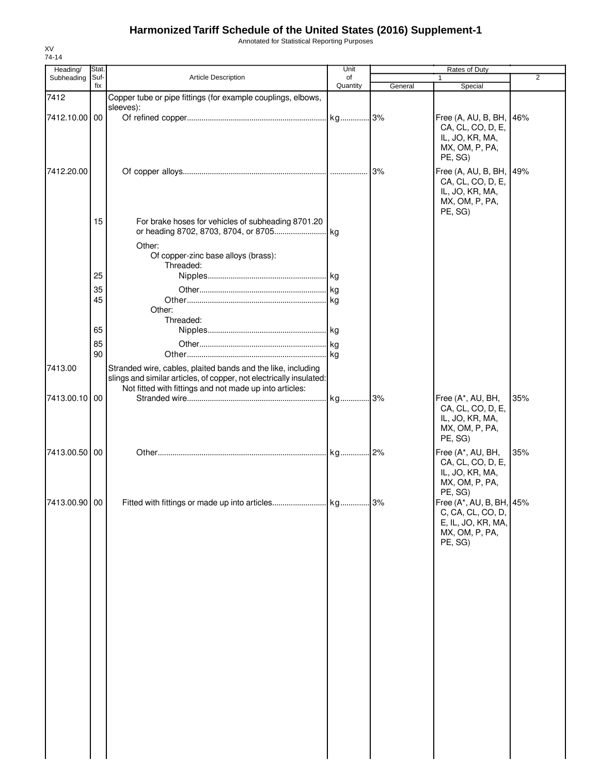Annotated for Statistical Reporting Purposes

| Stat.         |                                                                                                                                                                                                | Unit                                          |         | Rates of Duty                                                                          | 2                                                                                                                |
|---------------|------------------------------------------------------------------------------------------------------------------------------------------------------------------------------------------------|-----------------------------------------------|---------|----------------------------------------------------------------------------------------|------------------------------------------------------------------------------------------------------------------|
| fix           |                                                                                                                                                                                                | Quantity                                      | General | Special                                                                                |                                                                                                                  |
|               | Copper tube or pipe fittings (for example couplings, elbows,                                                                                                                                   |                                               |         |                                                                                        |                                                                                                                  |
|               | sleeves):                                                                                                                                                                                      |                                               |         |                                                                                        |                                                                                                                  |
| 7412.10.00 00 |                                                                                                                                                                                                |                                               |         | CA, CL, CO, D, E,<br>IL, JO, KR, MA,<br>MX, OM, P, PA,                                 | 46%                                                                                                              |
|               |                                                                                                                                                                                                |                                               |         | PE, SG)                                                                                |                                                                                                                  |
|               |                                                                                                                                                                                                |                                               |         | CA, CL, CO, D, E,<br>IL, JO, KR, MA,<br>MX, OM, P, PA,                                 |                                                                                                                  |
| 15            | For brake hoses for vehicles of subheading 8701.20                                                                                                                                             |                                               |         |                                                                                        |                                                                                                                  |
|               | Other:<br>Of copper-zinc base alloys (brass):                                                                                                                                                  |                                               |         |                                                                                        |                                                                                                                  |
|               |                                                                                                                                                                                                |                                               |         |                                                                                        |                                                                                                                  |
|               |                                                                                                                                                                                                |                                               |         |                                                                                        |                                                                                                                  |
|               |                                                                                                                                                                                                |                                               |         |                                                                                        |                                                                                                                  |
|               | Other:                                                                                                                                                                                         |                                               |         |                                                                                        |                                                                                                                  |
| 65            |                                                                                                                                                                                                |                                               |         |                                                                                        |                                                                                                                  |
|               |                                                                                                                                                                                                |                                               |         |                                                                                        |                                                                                                                  |
| 90            |                                                                                                                                                                                                |                                               |         |                                                                                        |                                                                                                                  |
|               | Stranded wire, cables, plaited bands and the like, including<br>slings and similar articles, of copper, not electrically insulated:<br>Not fitted with fittings and not made up into articles: |                                               |         |                                                                                        |                                                                                                                  |
| 00            |                                                                                                                                                                                                |                                               |         | Free (A*, AU, BH,<br>CA, CL, CO, D, E,<br>IL, JO, KR, MA,<br>MX, OM, P, PA,<br>PE, SG) | 35%                                                                                                              |
| 7413.00.50 00 |                                                                                                                                                                                                |                                               |         | Free (A*, AU, BH,<br>CA, CL, CO, D, E,<br>IL, JO, KR, MA,<br>MX, OM, P, PA,            | 35%                                                                                                              |
| 7413.00.90 00 |                                                                                                                                                                                                |                                               |         | C, CA, CL, CO, D,<br>E, IL, JO, KR, MA,<br>MX, OM, P, PA,<br>PE, SG)                   |                                                                                                                  |
|               |                                                                                                                                                                                                |                                               |         |                                                                                        |                                                                                                                  |
|               |                                                                                                                                                                                                |                                               |         |                                                                                        |                                                                                                                  |
|               |                                                                                                                                                                                                |                                               |         |                                                                                        |                                                                                                                  |
|               |                                                                                                                                                                                                |                                               |         |                                                                                        |                                                                                                                  |
|               |                                                                                                                                                                                                |                                               |         |                                                                                        |                                                                                                                  |
|               |                                                                                                                                                                                                |                                               |         |                                                                                        |                                                                                                                  |
|               | Suf-<br>25<br>35<br>45<br>85<br>7413.00.10                                                                                                                                                     | Article Description<br>Threaded:<br>Threaded: | of      |                                                                                        | $\mathbf{1}$<br>Free (A, AU, B, BH,<br>Free (A, AU, B, BH, 49%<br>PE, SG)<br>PE, SG)<br>Free (A*, AU, B, BH, 45% |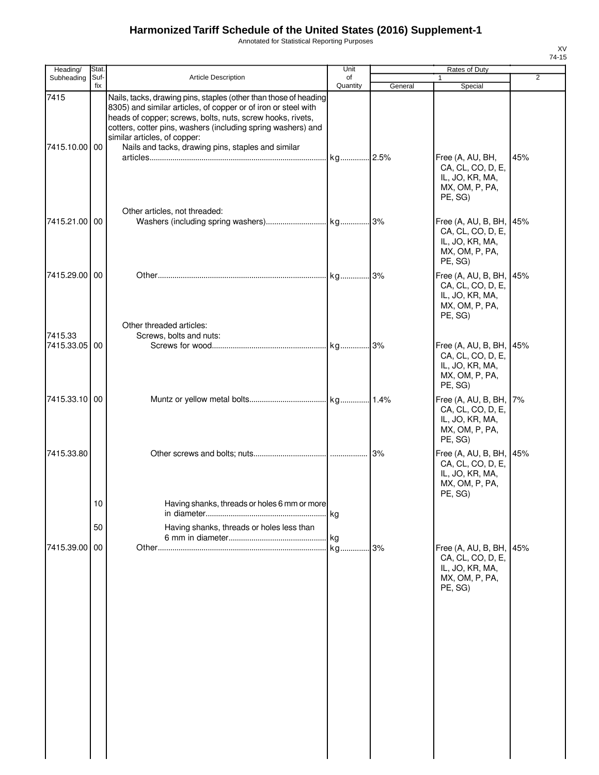Annotated for Statistical Reporting Purposes

| Heading/                 | Stat.       |                                                                                                                                                                                                                                                                                                                                                        | Unit           |         | Rates of Duty                                                                            |                |
|--------------------------|-------------|--------------------------------------------------------------------------------------------------------------------------------------------------------------------------------------------------------------------------------------------------------------------------------------------------------------------------------------------------------|----------------|---------|------------------------------------------------------------------------------------------|----------------|
| Subheading               | Suf-<br>fix | Article Description                                                                                                                                                                                                                                                                                                                                    | of<br>Quantity | General | 1<br>Special                                                                             | $\overline{2}$ |
| 7415<br>7415.10.00 00    |             | Nails, tacks, drawing pins, staples (other than those of heading<br>8305) and similar articles, of copper or of iron or steel with<br>heads of copper; screws, bolts, nuts, screw hooks, rivets,<br>cotters, cotter pins, washers (including spring washers) and<br>similar articles, of copper:<br>Nails and tacks, drawing pins, staples and similar |                |         |                                                                                          |                |
|                          |             |                                                                                                                                                                                                                                                                                                                                                        |                |         | Free (A, AU, BH,<br>CA, CL, CO, D, E,<br>IL, JO, KR, MA,<br>MX, OM, P, PA,<br>PE, SG)    | 45%            |
| 7415.21.00 00            |             | Other articles, not threaded:                                                                                                                                                                                                                                                                                                                          |                |         | Free (A, AU, B, BH,<br>CA, CL, CO, D, E,<br>IL, JO, KR, MA,<br>MX, OM, P, PA,<br>PE, SG) | 45%            |
| 7415.29.00 00            |             | Other threaded articles:                                                                                                                                                                                                                                                                                                                               |                |         | Free (A, AU, B, BH,<br>CA, CL, CO, D, E,<br>IL, JO, KR, MA,<br>MX, OM, P, PA,<br>PE, SG) | 45%            |
| 7415.33<br>7415.33.05 00 |             | Screws, bolts and nuts:                                                                                                                                                                                                                                                                                                                                |                |         | Free (A, AU, B, BH,<br>CA, CL, CO, D, E,<br>IL, JO, KR, MA,<br>MX, OM, P, PA,<br>PE, SG) | 45%            |
| 7415.33.10 00            |             |                                                                                                                                                                                                                                                                                                                                                        |                |         | Free (A, AU, B, BH,<br>CA, CL, CO, D, E,<br>IL, JO, KR, MA,<br>MX, OM, P, PA,<br>PE, SG) | 7%             |
| 7415.33.80               |             |                                                                                                                                                                                                                                                                                                                                                        |                | 3%      | Free (A, AU, B, BH,<br>CA, CL, CO, D, E,<br>IL, JO, KR, MA,<br>MX, OM, P, PA,<br>PE, SG) | 45%            |
|                          | 10<br>50    | Having shanks, threads or holes 6 mm or more<br>Having shanks, threads or holes less than                                                                                                                                                                                                                                                              |                |         |                                                                                          |                |
| 7415.39.00               | 00          |                                                                                                                                                                                                                                                                                                                                                        | kg             | 3%      | Free (A, AU, B, BH,<br>CA, CL, CO, D, E,<br>IL, JO, KR, MA,<br>MX, OM, P, PA,<br>PE, SG) | 45%            |
|                          |             |                                                                                                                                                                                                                                                                                                                                                        |                |         |                                                                                          |                |
|                          |             |                                                                                                                                                                                                                                                                                                                                                        |                |         |                                                                                          |                |
|                          |             |                                                                                                                                                                                                                                                                                                                                                        |                |         |                                                                                          |                |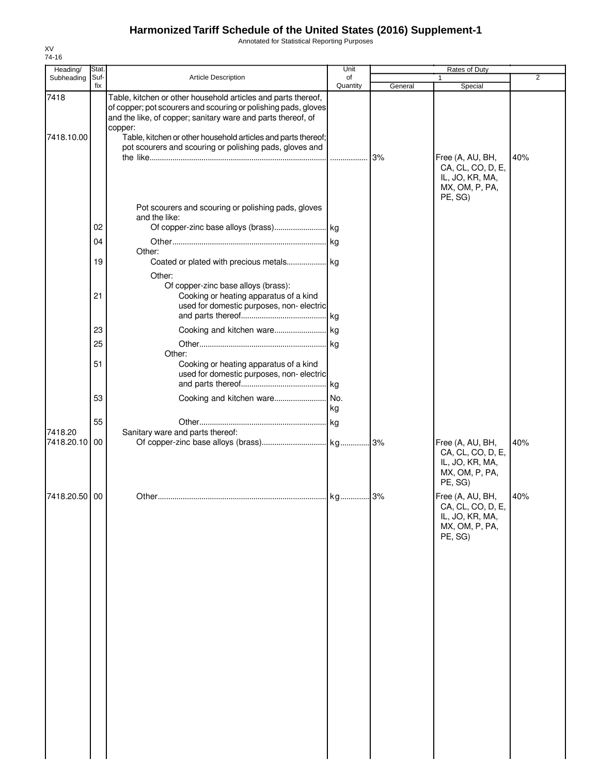Annotated for Statistical Reporting Purposes

| Heading/<br>Subheading | Stat.<br>Suf-<br>fix | Article Description                                                                                                                                                                             | Unit<br>of<br>Quantity | Rates of Duty<br>$\overline{2}$ |                                                                                       |     |  |
|------------------------|----------------------|-------------------------------------------------------------------------------------------------------------------------------------------------------------------------------------------------|------------------------|---------------------------------|---------------------------------------------------------------------------------------|-----|--|
|                        |                      |                                                                                                                                                                                                 |                        | General                         | Special                                                                               |     |  |
| 7418                   |                      | Table, kitchen or other household articles and parts thereof,<br>of copper; pot scourers and scouring or polishing pads, gloves<br>and the like, of copper; sanitary ware and parts thereof, of |                        |                                 |                                                                                       |     |  |
| 7418.10.00             |                      | copper:<br>Table, kitchen or other household articles and parts thereof;<br>pot scourers and scouring or polishing pads, gloves and                                                             |                        | 3%                              | Free (A, AU, BH,                                                                      | 40% |  |
|                        | 02                   | Pot scourers and scouring or polishing pads, gloves<br>and the like:                                                                                                                            |                        |                                 | CA, CL, CO, D, E,<br>IL, JO, KR, MA,<br>MX, OM, P, PA,<br>PE, SG)                     |     |  |
|                        | 04                   |                                                                                                                                                                                                 | .lkg                   |                                 |                                                                                       |     |  |
|                        | 19                   | Other:<br>Coated or plated with precious metals kg                                                                                                                                              |                        |                                 |                                                                                       |     |  |
|                        | 21                   | Other:<br>Of copper-zinc base alloys (brass):<br>Cooking or heating apparatus of a kind<br>used for domestic purposes, non-electric                                                             |                        |                                 |                                                                                       |     |  |
|                        | 23                   |                                                                                                                                                                                                 |                        |                                 |                                                                                       |     |  |
|                        | 25                   |                                                                                                                                                                                                 | . kg                   |                                 |                                                                                       |     |  |
|                        | 51                   | Other:<br>Cooking or heating apparatus of a kind<br>used for domestic purposes, non-electric                                                                                                    |                        |                                 |                                                                                       |     |  |
|                        | 53                   | Cooking and kitchen ware                                                                                                                                                                        | No.                    |                                 |                                                                                       |     |  |
|                        |                      |                                                                                                                                                                                                 | kg                     |                                 |                                                                                       |     |  |
|                        | 55                   |                                                                                                                                                                                                 |                        |                                 |                                                                                       |     |  |
| 7418.20<br>7418.20.10  | 00                   | Sanitary ware and parts thereof:                                                                                                                                                                |                        |                                 | Free (A, AU, BH,<br>CA, CL, CO, D, E,<br>IL, JO, KR, MA,<br>MX, OM, P, PA,<br>PE, SG) | 40% |  |
| 418.20.50 00           |                      |                                                                                                                                                                                                 |                        |                                 | Free (A, AU, BH,<br>CA, CL, CO, D, E,<br>IL, JO, KR, MA,<br>MX, OM, P, PA,<br>PE, SG) | 40% |  |
|                        |                      |                                                                                                                                                                                                 |                        |                                 |                                                                                       |     |  |
|                        |                      |                                                                                                                                                                                                 |                        |                                 |                                                                                       |     |  |
|                        |                      |                                                                                                                                                                                                 |                        |                                 |                                                                                       |     |  |
|                        |                      |                                                                                                                                                                                                 |                        |                                 |                                                                                       |     |  |
|                        |                      |                                                                                                                                                                                                 |                        |                                 |                                                                                       |     |  |
|                        |                      |                                                                                                                                                                                                 |                        |                                 |                                                                                       |     |  |
|                        |                      |                                                                                                                                                                                                 |                        |                                 |                                                                                       |     |  |